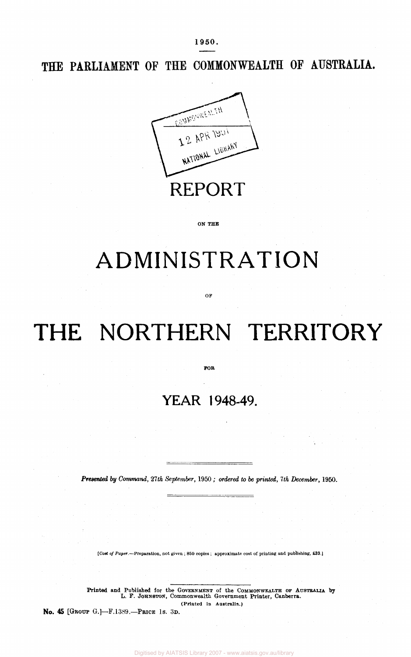1950.

**THE PARLIAMENT OF THE COMMONWEALTH OF AUSTRALIA.** 



ON THE

# **ADMINISTRATION**

OF

# **THE NORTHERN TERRITORY**

#### FOR

## **YEAR 1948-49.**

*Presented by Command, 27th September,* 1950 ; *ordered to be printed, 7th December,* 1950.

*[Cost of Paper.*—Preparation, not given ; 850 copies ; approximate cost of printing and publishing, £33.)

Printed and Published for the GOVERNMENT of the COMMONWEALTH OF AUSTRALIA by L. F. JOHNSTON, Commonwealth Government Printer, Canberra. (Printed in Australia.)

No. 45 [GROUP G.]—F. 1389.—PRICE 1S. 3D.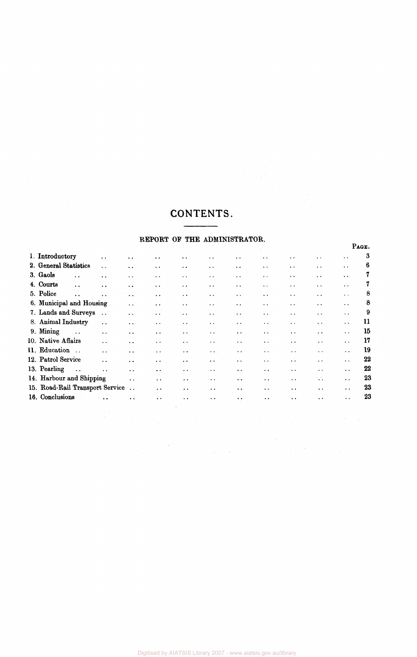### CONTENTS.

### REPORT OF THE ADMINISTRATOR.

|                                   |                      |                       |                      |                       |                      |                       |                       |                              |                            | PAGE.                 |    |
|-----------------------------------|----------------------|-----------------------|----------------------|-----------------------|----------------------|-----------------------|-----------------------|------------------------------|----------------------------|-----------------------|----|
| 1. Introductory                   | $\ddot{\phantom{a}}$ | $\ddot{\phantom{0}}$  | . .                  | $\cdot$ .             | $\ddot{\phantom{a}}$ | $\cdot$ .             | $\ddot{\phantom{a}}$  | $\ddot{\phantom{1}}$         | $\ddot{\phantom{0}}$       | $\cdot$ .             | 3  |
| 2. General Statistics             | $\ddot{\phantom{a}}$ | $\ddot{\phantom{0}}$  | $\bullet$ $\bullet$  | $\bullet$ $\bullet$   | $\ddot{\phantom{0}}$ | $\cdot$ .             | $\bullet$ . $\bullet$ | $\ddot{\phantom{1}}$         | $\ddot{\phantom{0}}$       | $\bullet$ . $\bullet$ | 6  |
| 3. Gaols<br>$\ddot{\phantom{a}}$  | $\ddot{\phantom{a}}$ | $\ddot{\phantom{1}}$  | $\ddot{\phantom{1}}$ | $\ddot{\phantom{a}}$  | $\ddot{\phantom{a}}$ | $\ddot{\phantom{a}}$  | $\ddot{\phantom{1}}$  | $\ddot{\phantom{1}}$         | $\ddot{\phantom{1}}$       | $\ddot{\phantom{1}}$  | 7  |
| 4. Courts<br>$\ddot{\phantom{a}}$ | $\ddot{\phantom{0}}$ | $\ddot{\phantom{a}}$  | $\ddot{\phantom{1}}$ | $\bullet$ $\bullet$   | $\ddot{\phantom{a}}$ | $\ddot{\phantom{a}}$  | $\ddot{\phantom{0}}$  | $\cdot$ .                    | $\ddot{\phantom{0}}$       | $\sim$ $\sim$         | 7  |
| 5. Police<br>$\ddot{\phantom{0}}$ | $\ddot{\phantom{0}}$ | $\ddot{\phantom{0}}$  | $\ddot{\phantom{0}}$ | $\ddot{\phantom{0}}$  | $\ddot{\phantom{0}}$ | $\ddot{\phantom{a}}$  | $\ddot{\phantom{0}}$  | $\ddot{\phantom{0}}$         | $\ddot{\phantom{1}}$       | $\sim$ $\sim$         | 8  |
| 6. Municipal and Housing          |                      | $\ddot{\phantom{1}}$  | $\ddot{\phantom{1}}$ | $\bullet$ . $\bullet$ | $\ddot{\phantom{1}}$ | $\ddot{\phantom{0}}$  | $\ddot{\phantom{0}}$  | $\ddot{\phantom{1}}$         | $\cdot$ $\cdot$            | . .                   | 8  |
| 7. Lands and Surveys              | $\ddot{\phantom{0}}$ | $\ddot{\phantom{0}}$  | $\ddot{\phantom{1}}$ | $\cdot$ .             | $\ddot{\phantom{0}}$ | $\ddot{\phantom{1}}$  | $\ddot{\phantom{1}}$  | $\ddot{\phantom{1}}$         | $\ddot{\phantom{1}}$       | $\ddot{\phantom{0}}$  | 9  |
| 8. Animal Industry                | $\ddot{\phantom{0}}$ | $\bullet$ . $\bullet$ | $\ddot{\phantom{1}}$ | $\ddot{\phantom{0}}$  | $\ddot{\phantom{1}}$ | $\ddot{\phantom{1}}$  | $\ddot{\phantom{1}}$  | $\ddot{\phantom{0}}$         | $\cdot$ $\cdot$            | $\ddot{\phantom{0}}$  | 11 |
| 9. Mining<br>$\ddot{\phantom{0}}$ | $\ddot{\phantom{0}}$ | $\ddot{\phantom{a}}$  | $\ddot{\phantom{1}}$ | $\ddot{\phantom{0}}$  | $\ddot{\phantom{0}}$ | $\ddot{\phantom{1}}$  | $\ddot{\phantom{a}}$  | $\ddot{\phantom{0}}$         | $\ddot{\phantom{0}}$       | $\ddot{\phantom{a}}$  | 15 |
| 10. Native Affairs                | $\ddot{\phantom{a}}$ | $\ddot{\phantom{a}}$  | $\ddot{\phantom{1}}$ | $\cdot$ .             | $\ddot{\phantom{0}}$ | $\ddot{\phantom{a}}$  | $\ddot{\phantom{a}}$  | $\ddot{\phantom{0}}$         | $\ddot{\phantom{1}}$       | $\ddot{\bullet}$      | 17 |
| 11. Education<br>$\sim$           | $\ddot{\phantom{0}}$ | $\ddot{\phantom{0}}$  | $\ddot{\phantom{0}}$ | $\ddot{\phantom{0}}$  | $\ddot{\phantom{a}}$ | $\bullet$ . $\bullet$ | $\ddot{\phantom{1}}$  | $\cdot$ $\cdot$              | $\cdot$ $\cdot$            | $\ddot{\phantom{0}}$  | 19 |
| 12. Patrol Service                | $\ddot{\phantom{0}}$ | $\ddot{\phantom{1}}$  | $\ddot{\phantom{1}}$ | $\bullet$             | $\ddot{\phantom{1}}$ | $\ddot{\phantom{1}}$  | $\ddot{\phantom{1}}$  | $\cdot$ .                    | $\ddot{\phantom{0}}$       | $\ddot{\phantom{0}}$  | 22 |
| 13. Pearling<br>$\ddotsc$         | $\ddot{\phantom{a}}$ | $\ddot{\phantom{1}}$  | $\ddot{\phantom{1}}$ | $\ddot{\phantom{0}}$  | $\ddot{\phantom{1}}$ | $\ddot{\phantom{a}}$  | $\ddot{\phantom{0}}$  | $\bullet$ .<br><br>$\bullet$ | $\ddot{\phantom{0}}$       | $\ddot{\phantom{1}}$  | 22 |
| 14. Harbour and Shipping          |                      | $\ddot{\phantom{a}}$  | $\ddot{\phantom{1}}$ | $\cdot$ .             | $\cdot$ .            | $\bullet$ $\bullet$   | $\ddot{\phantom{a}}$  | $\ddot{\phantom{0}}$         | $\mathcal{L}_{\mathbf{a}}$ | $\ddot{\phantom{1}}$  | 23 |
| 15. Road-Rail Transport Service   |                      | $\cdots$              | $\ddot{\phantom{1}}$ | $\ddot{\phantom{1}}$  | $\ddot{\phantom{a}}$ | $\bullet$             | $\ddot{\phantom{1}}$  | $\ddot{\phantom{a}}$         | $\ddot{\phantom{0}}$       | $\cdot$ .             | 23 |
| 16. Conclusions                   |                      | . .                   | $\cdot$ .            | . .                   | $\cdot$ .            | $\cdot$ .             | $\ddot{\phantom{1}}$  | $\ddot{\phantom{a}}$         | $\ddot{\phantom{0}}$       | $\cdot$ .             | 23 |
|                                   |                      |                       |                      |                       |                      |                       |                       |                              |                            |                       |    |

 $\label{eq:2.1} \frac{1}{2}\sum_{i=1}^n\frac{1}{2}\sum_{j=1}^n\frac{1}{2}\sum_{j=1}^n\frac{1}{2}\sum_{j=1}^n\frac{1}{2}\sum_{j=1}^n\frac{1}{2}\sum_{j=1}^n\frac{1}{2}\sum_{j=1}^n\frac{1}{2}\sum_{j=1}^n\frac{1}{2}\sum_{j=1}^n\frac{1}{2}\sum_{j=1}^n\frac{1}{2}\sum_{j=1}^n\frac{1}{2}\sum_{j=1}^n\frac{1}{2}\sum_{j=1}^n\frac{1}{2}\sum_{j=1}^n\$ 

 $\frac{1}{2} \left( \frac{1}{2} \right)$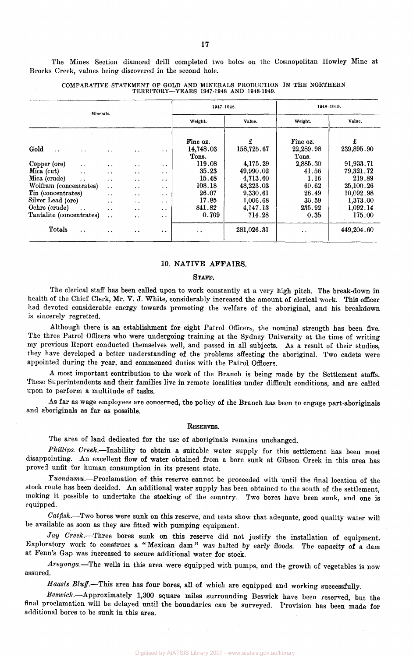The Mines Section diamond drill completed two holes on the Cosmopolitan Howley Mine at Brocks Creek, values being discovered in the second hole.

| Minerals.                          |                      |                                              |                                              |                                   | 1947-1948.            |                       | 1948-1949.            |                      |  |
|------------------------------------|----------------------|----------------------------------------------|----------------------------------------------|-----------------------------------|-----------------------|-----------------------|-----------------------|----------------------|--|
|                                    |                      |                                              |                                              |                                   | Weight.               | Value.                | Weight.               | Value.               |  |
| Gold<br>٠.,                        | $\ddot{\phantom{a}}$ | $\cdot$ .                                    | . .                                          | $\cdot$ $\cdot$                   | Fine oz.<br>14,748.03 | £<br>158,725.67       | Fine oz.<br>22,289.98 | £<br>239,895.90      |  |
| Copper (ore)                       | $\ddotsc$            | $\ddot{\phantom{a}}$                         | $\ddot{\phantom{0}}$                         | $\ddot{\phantom{a}}$              | Tons.<br>119.08       | 4,175.29              | Tons.<br>2,885.30     | 91,933.71            |  |
| Mica (cut)<br>Mica (crude)         | $\ddot{\phantom{1}}$ | $\ddot{\phantom{0}}$                         | $\ddot{\phantom{0}}$                         | $\cdot$ .                         | 35.23<br>15.48        | 49,990.02<br>4,713.60 | 41.56<br>1.16         | 79,321.72<br>219.89  |  |
| Wolfram (concentrates)             | $\ddot{\phantom{1}}$ | $\ddot{\phantom{0}}$<br>$\ddot{\phantom{a}}$ | $\ddot{\phantom{a}}$<br>$\ddot{\phantom{0}}$ | $\ddot{\phantom{a}}$<br>$\cdot$ . | 108.18                | 48,223.03             | 60.62                 | 25,100.26            |  |
| Tin (concentrates)                 |                      | $\cdot$ .                                    | $\ddot{\phantom{a}}$                         | $\ddot{\phantom{0}}$              | 26.07                 | 9,330.61              | 28.49                 | 10,092.98            |  |
| Silver Lead (ore)<br>Ochre (crude) | $\ddot{\phantom{a}}$ | $\ddot{\phantom{a}}$<br>$\ddot{\phantom{a}}$ | $\ddotsc$<br>$\ddot{\phantom{0}}$            | $\cdot$ $\cdot$<br>. .            | 17.85<br>841.82       | 1,006.68<br>4,147.13  | 30.59<br>235.92       | 1,373.00<br>1,092.14 |  |
| Tantalite (concentrates)           |                      | $\ddot{\phantom{a}}$                         | $\cdot$ .                                    | $\ddot{\phantom{a}}$              | 0.709                 | 714.28                | 0.35                  | 175.00               |  |
| Totals                             | $\cdot$ .            | $\cdot$ .                                    | $\cdot$ .                                    | $\bullet\quad\bullet\quad$        | $\ddot{\phantom{0}}$  | 281,026.31            | $\ddot{\phantom{0}}$  | 449,204.60           |  |

COMPARATIVE STATEMENT OP GOLD AND MINERALS PRODUCTION IN THE NORTHERN TERRITORY—YEARS 1947-1948 AND 1948-1949.

#### 10. NATIVE AFFAIRS.

#### STAFF.

The clerical staff has been called upon to work constantly at a very high pitch. The break-down in health of the Chief Clerk, Mr. V. J. White, considerably increased the amount of clerical work. This officer had devoted considerable energy towards promoting the welfare of the aboriginal, and his breakdown is sincerely regretted.

Although there is an establishment for eight Patrol Officers, the nominal strength has been five. The three Patrol Officers who were undergoing training at the Sydney University at the time of writing my previous Report conducted themselves well, and passed in all subjects. As a result of their studies, they have developed a better understanding of the problems affecting the aboriginal. Two cadets were appointed during the year, and commenced duties with the Patrol Officers.

A most important contribution to the work of the Branch is being made by the Settlement staffs. These Superintendents and their families live in remote localities under difficult conditions, and are called upon to perform a multitude of tasks.

As far as wage employees are concerned, the policy of the Branch has been to engage part-aboriginals and aboriginals as far as possible.

#### RESERVES.

The area of land dedicated for the use of aboriginals remains unchanged.

*Phillips. Creek.*—Inability to obtain a suitable water supply for this settlement has been most disappointing. An excellent flow of water obtained from a bore sunk at Gibson Creek in this area has proved unfit for human consumption in its present state.

*Yuendumu.*—Proclamation of this reserve cannot be proceeded with until the final location of the stock route has been decided. An additional water supply has been obtained to the south of the settlement, making it possible to undertake the stocking of the country. Two bores have been sunk, and one is equipped.

*Catfish.*—Two bores were sunk on this reserve, and tests show that adequate, good quality water will be available as soon as they are fitted with pumping equipment.

*Jay Creek.—*Three bores sunk on this reserve did not justify the installation of equipment. Exploratory work to construct a "Mexican dam" was halted by early floods. The capacity of a dam at Fenn's Gap was increased to secure additional water for stock.

*Areyonga.—The* wells in this area were equipped with pumps, and the growth of vegetables is now assured.

*Haasts Bluff.*—This area has four bores, all of which are equipped and working successfully.

*Beswick.*—Approximately 1,300 square miles surrounding Beswick have been reserved, but the final proclamation will be delayed until the boundaries can be surveyed. Provision has been made for additional bores to be sunk in this area.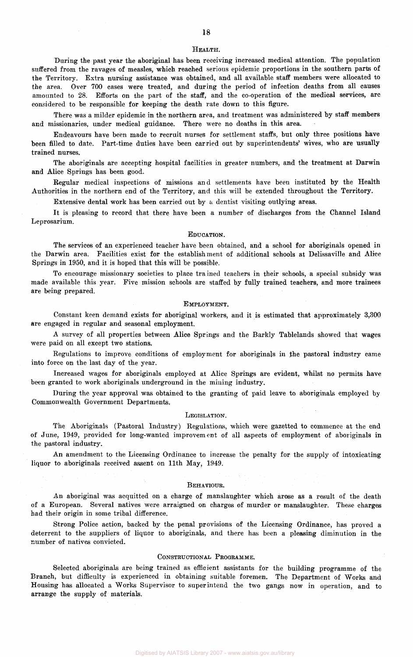#### HEALTH.

During the past year the aboriginal has been receiving increased medical attention. The population suffered from the ravages of measles, which reached serious epidemic proportions in the southern parts of the Territory. Extra nursing assistance was obtained, and all available staff members were allocated to the area. Over 700 cases were treated, and during the period of infection deaths from all causes amounted to 28. Efforts on the part of the staff, and the co-operation of the medical services, are considered to be responsible for keeping the death rate down to this figure.

There was a milder epidemic in the northern area, and treatment was administered by staff members and missionaries, under medical guidance. There were no deaths in this area.

Endeavours have been made to recruit nurses for settlement staffs, but only three positions have been filled to date. Part-time duties have been carried out by superintendents' wives, who are usually trained nurses.

The aboriginals are accepting hospital facilities in greater numbers, and the treatment at Darwin and Alice Springs has been good.

Regular medical inspections of missions and settlements have been instituted by the Health Authorities in the northern end of the Territory, and this will be extended throughout the Territory.

Extensive dental work has been carried out by a dentist visiting outlying areas.

It is pleasing to record that there have been a number of discharges from the Channel Island Leprosarium.

#### EDUCATION.

The services of an experienced teacher have been obtained, and a school for aboriginals opened in the Darwin area. Facilities exist for the establishment of additional schools at Delissaville and Alice Springs in 1950, and it is hoped that this will be possible.

To encourage missionary societies to place trained teachers in their schools, a special subsidy was made available this year. Five mission schools are staffed by fully trained teachers, and more trainees are being prepared.

#### EMPLOYMENT.

Constant keen demand exists for aboriginal workers, and it is estimated that approximately 3,300 are engaged in regular and seasonal employment.

A survey of all properties between Alice Springs and the Barkly Tablelands showed that wages were paid on all except two stations.

Regulations to improve conditions of employment for aboriginals in the pastoral industry came into force on the last day of the year.

Increased wages for aboriginals employed at Alice Springs are evident, whilst no permits have been granted to work aboriginals underground in the mining industry.

During the year approval was obtained to the granting of paid leave to aboriginals employed by Commonwealth Government Departments.

#### LEGISLATION.

The Aboriginals (Pastoral Industry) Regulations, which were gazetted to commence at the end of June, 1949, provided for long-wanted improvement of all aspects of employment of aboriginals in the pastoral industry.

An amendment to the Licensing Ordinance to increase the penalty for the supply of intoxicating liquor to aboriginals received assent on 11th May, 1949.

#### BEHAVIOUR.

An aboriginal was acquitted on a charge of manslaughter which arose as a result of the death of a European. Several natives were arraigned on charges of murder or manslaughter. These charges had their origin in some tribal difference.

Strong Police action, backed by the penal provisions of the Licensing Ordinance, has proved a deterrent to the suppliers of liquor to aboriginals, and there has been a pleasing diminution in the number of natives convicted.

#### CONSTRUCTIONAL PROGRAMME.

Selected aboriginals are being trained as efficient assistants for the building programme of the Branch, but difficulty is experienced in obtaining suitable foremen. The Department of Works and Housing has allocated a Works Supervisor to superintend the two gangs now in operation, and to arrange the supply of materials.